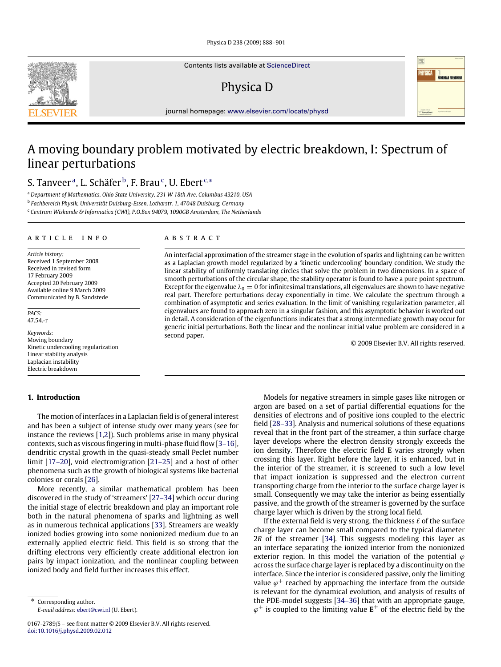Physica D 238 (2009) 888–901

Contents lists available at [ScienceDirect](http://www.elsevier.com/locate/physd)

# Physica D

journal homepage: [www.elsevier.com/locate/physd](http://www.elsevier.com/locate/physd)

# A moving boundary problem motivated by electric breakdown, I: Spectrum of linear perturbations

S. Tanveer <sup>a</sup>, L. Schäfer <sup>b</sup>, F. Brau <sup>c</sup>, U. Ebert <sup>c,</sup>\*

<sup>a</sup> *Department of Mathematics, Ohio State University, 231 W 18th Ave, Columbus 43210, USA*

b *Fachbereich Physik, Universität Duisburg-Essen, Lotharstr. 1, 47048 Duisburg, Germany*

<sup>c</sup> *Centrum Wiskunde & Informatica (CWI), P.O.Box 94079, 1090GB Amsterdam, The Netherlands*

#### a r t i c l e i n f o

*Article history:* Received 1 September 2008 Received in revised form 17 February 2009 Accepted 20 February 2009 Available online 9 March 2009 Communicated by B. Sandstede

*PACS:* 47.54.-r

*Keywords:* Moving boundary Kinetic undercooling regularization Linear stability analysis Laplacian instability Electric breakdown

# **1. Introduction**

The motion of interfaces in a Laplacian field is of general interest and has been a subject of intense study over many years (see for instance the reviews [1,2]). Such problems arise in many physical contexts, such as viscous fingering in multi-phase fluid flow [3–16], dendritic crystal growth in the quasi-steady small Peclet number limit [17–20], void electromigration [21–25] and a host of other phenomena such as the growth of biological systems like bacterial colonies or corals [26].

More recently, a similar mathematical problem has been discovered in the study of 'streamers' [27–34] which occur during the initial stage of electric breakdown and play an important role both in the natural phenomena of sparks and lightning as well as in numerous technical applications [33]. Streamers are weakly ionized bodies growing into some nonionized medium due to an externally applied electric field. This field is so strong that the drifting electrons very efficiently create additional electron ion pairs by impact ionization, and the nonlinear coupling between ionized body and field further increases this effect.

*E-mail address:* [ebert@cwi.nl](mailto:ebert@cwi.nl) (U. Ebert).

#### A B S T R A C T

An interfacial approximation of the streamer stage in the evolution of sparks and lightning can be written as a Laplacian growth model regularized by a 'kinetic undercooling' boundary condition. We study the linear stability of uniformly translating circles that solve the problem in two dimensions. In a space of smooth perturbations of the circular shape, the stability operator is found to have a pure point spectrum. Except for the eigenvalue  $\lambda_0 = 0$  for infinitesimal translations, all eigenvalues are shown to have negative real part. Therefore perturbations decay exponentially in time. We calculate the spectrum through a combination of asymptotic and series evaluation. In the limit of vanishing regularization parameter, all eigenvalues are found to approach zero in a singular fashion, and this asymptotic behavior is worked out in detail. A consideration of the eigenfunctions indicates that a strong intermediate growth may occur for generic initial perturbations. Both the linear and the nonlinear initial value problem are considered in a second paper.

© 2009 Elsevier B.V. All rights reserved.

Models for negative streamers in simple gases like nitrogen or argon are based on a set of partial differential equations for the densities of electrons and of positive ions coupled to the electric field [28–33]. Analysis and numerical solutions of these equations reveal that in the front part of the streamer, a thin surface charge layer develops where the electron density strongly exceeds the ion density. Therefore the electric field **E** varies strongly when crossing this layer. Right before the layer, it is enhanced, but in the interior of the streamer, it is screened to such a low level that impact ionization is suppressed and the electron current transporting charge from the interior to the surface charge layer is small. Consequently we may take the interior as being essentially passive, and the growth of the streamer is governed by the surface charge layer which is driven by the strong local field.

If the external field is very strong, the thickness  $\ell$  of the surface charge layer can become small compared to the typical diameter 2*R* of the streamer [34]. This suggests modeling this layer as an interface separating the ionized interior from the nonionized exterior region. In this model the variation of the potential  $\varphi$ across the surface charge layer is replaced by a discontinuity on the interface. Since the interior is considered passive, only the limiting value  $\varphi^+$  reached by approaching the interface from the outside is relevant for the dynamical evolution, and analysis of results of the PDE-model suggests [34–36] that with an appropriate gauge,  $\varphi^+$  is coupled to the limiting value  $\mathbf{E}^+$  of the electric field by the





<sup>0167-2789/\$ –</sup> see front matter © 2009 Elsevier B.V. All rights reserved. [doi:10.1016/j.physd.2009.02.012](http://dx.doi.org/10.1016/j.physd.2009.02.012)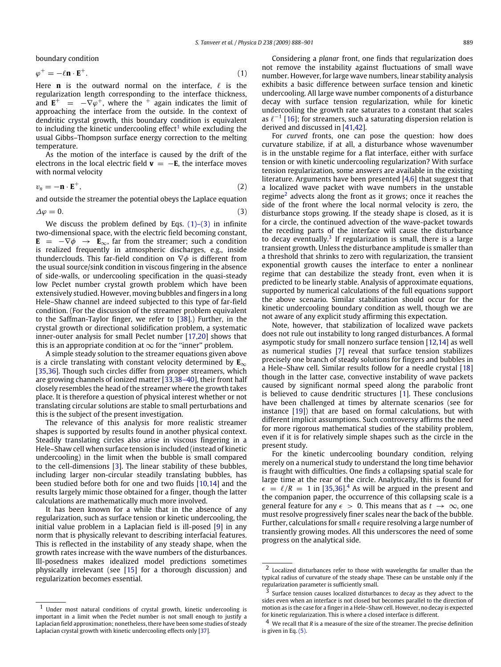boundary condition

$$
\varphi^+ = -\ell \mathbf{n} \cdot \mathbf{E}^+.\tag{1}
$$

Here **n** is the outward normal on the interface,  $\ell$  is the regularization length corresponding to the interface thickness, and  $\mathbf{E}^+$  =  $-\nabla \varphi^+$ , where the  $+$  again indicates the limit of approaching the interface from the outside. In the context of dendritic crystal growth, this boundary condition is equivalent to including the kinetic undercooling effect<sup>1</sup> while excluding the usual Gibbs–Thompson surface energy correction to the melting temperature.

As the motion of the interface is caused by the drift of the electrons in the local electric field  $\mathbf{v} = -\mathbf{E}$ , the interface moves with normal velocity

$$
v_n = -\mathbf{n} \cdot \mathbf{E}^+, \tag{2}
$$

and outside the streamer the potential obeys the Laplace equation

$$
\Delta \varphi = 0. \tag{3}
$$

We discuss the problem defined by Eqs.  $(1)-(3)$  in infinite two-dimensional space, with the electric field becoming constant,  $\mathbf{E}$  =  $-\nabla\phi$   $\rightarrow$   $\mathbf{E}_{\infty}$ , far from the streamer; such a condition is realized frequently in atmospheric discharges, e.g., inside thunderclouds. This far-field condition on  $\nabla \phi$  is different from the usual source/sink condition in viscous fingering in the absence of side-walls, or undercooling specification in the quasi-steady low Peclet number crystal growth problem which have been extensively studied. However, moving bubbles and fingers in a long Hele–Shaw channel are indeed subjected to this type of far-field condition. (For the discussion of the streamer problem equivalent to the Saffman-Taylor finger, we refer to [38].) Further, in the crystal growth or directional solidification problem, a systematic inner-outer analysis for small Peclet number [17,20] shows that this is an appropriate condition at  $\infty$  for the "inner" problem.

A simple steady solution to the streamer equations given above is a circle translating with constant velocity determined by **E**∞ [35,36]. Though such circles differ from proper streamers, which are growing channels of ionized matter [33,38–40], their front half closely resembles the head of the streamer where the growth takes place. It is therefore a question of physical interest whether or not translating circular solutions are stable to small perturbations and this is the subject of the present investigation.

The relevance of this analysis for more realistic streamer shapes is supported by results found in another physical context. Steadily translating circles also arise in viscous fingering in a Hele–Shaw cell when surface tension is included (instead of kinetic undercooling) in the limit when the bubble is small compared to the cell-dimensions [3]. The linear stability of these bubbles, including larger non-circular steadily translating bubbles, has been studied before both for one and two fluids [10,14] and the results largely mimic those obtained for a finger, though the latter calculations are mathematically much more involved.

It has been known for a while that in the absence of any regularization, such as surface tension or kinetic undercooling, the initial value problem in a Laplacian field is ill-posed [9] in any norm that is physically relevant to describing interfacial features. This is reflected in the instability of any steady shape, when the growth rates increase with the wave numbers of the disturbances. Ill-posedness makes idealized model predictions sometimes physically irrelevant (see [15] for a thorough discussion) and regularization becomes essential.

Considering a *planar* front, one finds that regularization does not remove the instability against fluctuations of small wave number. However, for large wave numbers, linear stability analysis exhibits a basic difference between surface tension and kinetic undercooling. All large wave number components of a disturbance decay with surface tension regularization, while for kinetic undercooling the growth rate saturates to a constant that scales as  $\ell^{-1}$  [16]; for streamers, such a saturating dispersion relation is derived and discussed in [41,42].

For *curved* fronts, one can pose the question: how does curvature stabilize, if at all, a disturbance whose wavenumber is in the unstable regime for a flat interface, either with surface tension or with kinetic undercooling regularization? With surface tension regularization, some answers are available in the existing literature. Arguments have been presented [4,6] that suggest that a localized wave packet with wave numbers in the unstable regime<sup>2</sup> advects along the front as it grows; once it reaches the side of the front where the local normal velocity is zero, the disturbance stops growing. If the steady shape is closed, as it is for a circle, the continued advection of the wave-packet towards the receding parts of the interface will cause the disturbance to decay eventually. $3$  If regularization is small, there is a large transient growth. Unless the disturbance amplitude is smaller than a threshold that shrinks to zero with regularization, the transient exponential growth causes the interface to enter a nonlinear regime that can destabilize the steady front, even when it is predicted to be linearly stable. Analysis of approximate equations, supported by numerical calculations of the full equations support the above scenario. Similar stabilization should occur for the kinetic undercooling boundary condition as well, though we are not aware of any explicit study affirming this expectation.

Note, however, that stabilization of localized wave packets does not rule out instability to long ranged disturbances. A formal asympotic study for small nonzero surface tension [12,14] as well as numerical studies [7] reveal that surface tension stabilizes precisely one branch of steady solutions for fingers and bubbles in a Hele–Shaw cell. Similar results follow for a needle crystal [18] though in the latter case, convective instability of wave packets caused by significant normal speed along the parabolic front is believed to cause dendritic structures [1]. These conclusions have been challenged at times by alternate scenarios (see for instance [19]) that are based on formal calculations, but with different implicit assumptions. Such controversy affirms the need for more rigorous mathematical studies of the stability problem, even if it is for relatively simple shapes such as the circle in the present study.

For the kinetic undercooling boundary condition, relying merely on a numerical study to understand the long time behavior is fraught with difficulties. One finds a collapsing spatial scale for large time at the rear of the circle. Analytically, this is found for  $\epsilon = \ell/R = 1$  in [35,36].<sup>4</sup> As will be argued in the present and the companion paper, the occurrence of this collapsing scale is a general feature for any  $\epsilon > 0$ . This means that as  $t \to \infty$ , one must resolve progressively finer scales near the back of the bubble. Further, calculations for small  $\epsilon$  require resolving a large number of transiently growing modes. All this underscores the need of some progress on the analytical side.

<sup>1</sup> Under most natural conditions of crystal growth, kinetic undercooling is important in a limit when the Peclet number is not small enough to justify a Laplacian field approximation; nonetheless, there have been some studies of steady Laplacian crystal growth with kinetic undercooling effects only [37].

<sup>2</sup> Localized disturbances refer to those with wavelengths far smaller than the typical radius of curvature of the steady shape. These can be unstable only if the regularization parameter is sufficiently small.

<sup>3</sup> Surface tension causes localized disturbances to decay as they advect to the sides even when an interface is not closed but becomes parallel to the direction of motion as is the case for a finger in a Hele–Shaw cell. However, no decay is expected for kinetic regularization. This is where a closed interface is different.

<sup>4</sup> We recall that *R* is a measure of the size of the streamer. The precise definition is given in Eq.  $(5)$ .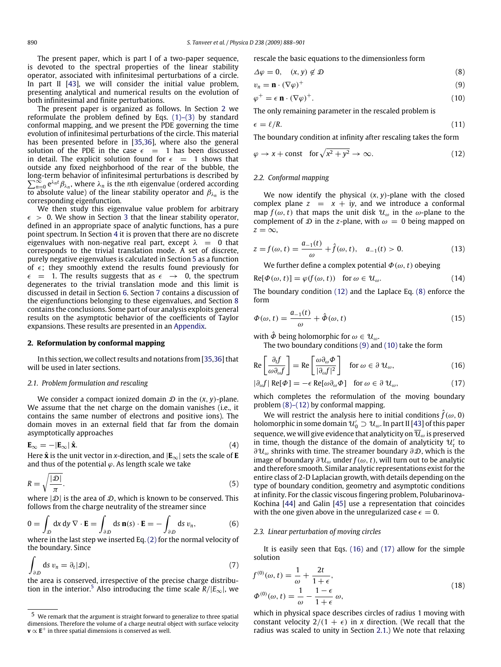The present paper, which is part I of a two-paper sequence, is devoted to the spectral properties of the linear stability operator, associated with infinitesimal perturbations of a circle. In part II [43], we will consider the initial value problem, presenting analytical and numerical results on the evolution of both infinitesimal and finite perturbations.

The present paper is organized as follows. In Section 2 we reformulate the problem defined by Eqs. (1)–(3) by standard conformal mapping, and we present the PDE governing the time evolution of infinitesimal perturbations of the circle. This material has been presented before in [35,36], where also the general solution of the PDE in the case  $\epsilon$  = 1 has been discussed in detail. The explicit solution found for  $\epsilon = 1$  shows that outside any fixed neighborhood of the rear of the bubble, the long-term behavior of infinitesimal perturbations is described by  $\sum_{n=0}^{\infty} e^{\lambda_n t} \beta_{\lambda_n}$ , where  $\lambda_n$  is the *n*th eigenvalue (ordered according to absolute value) of the linear stability operator and  $\beta_{\lambda_n}$  is the corresponding eigenfunction.

We then study this eigenvalue value problem for arbitrary  $\epsilon$  > 0. We show in Section 3 that the linear stability operator, defined in an appropriate space of analytic functions, has a pure point spectrum. In Section 4 it is proven that there are no discrete eigenvalues with non-negative real part, except  $\lambda = 0$  that corresponds to the trivial translation mode. A set of discrete, purely negative eigenvalues is calculated in Section 5 as a function of  $\epsilon$ ; they smoothly extend the results found previously for  $\epsilon$  = 1. The results suggests that as  $\epsilon \rightarrow 0$ , the spectrum degenerates to the trivial translation mode and this limit is discussed in detail in Section 6. Section 7 contains a discussion of the eigenfunctions belonging to these eigenvalues, and Section 8 contains the conclusions. Some part of our analysis exploits general results on the asymptotic behavior of the coefficients of Taylor expansions. These results are presented in an Appendix.

#### **2. Reformulation by conformal mapping**

In this section, we collect results and notations from [35,36] that will be used in later sections.

## *2.1. Problem formulation and rescaling*

We consider a compact ionized domain  $D$  in the  $(x, y)$ -plane. We assume that the net charge on the domain vanishes (i.e., it contains the same number of electrons and positive ions). The domain moves in an external field that far from the domain asymptotically approaches

$$
\mathbf{E}_{\infty} = -|\mathbf{E}_{\infty}| \hat{\mathbf{x}}.
$$
 (4)

Here  $\hat{\mathbf{x}}$  is the unit vector in *x*-direction, and  $|\mathbf{E}_{\infty}|$  sets the scale of **E** and thus of the potential  $\varphi$ . As length scale we take

$$
R = \sqrt{\frac{|\mathcal{D}|}{\pi}}.\tag{5}
$$

where  $|\mathcal{D}|$  is the area of  $\mathcal{D}$ , which is known to be conserved. This follows from the charge neutrality of the streamer since

$$
0 = \int_{\mathcal{D}} dx dy \nabla \cdot \mathbf{E} = \int_{\partial \mathcal{D}} ds \, \mathbf{n}(s) \cdot \mathbf{E} = -\int_{\partial \mathcal{D}} ds \, v_n,
$$
 (6)

where in the last step we inserted Eq. (2) for the normal velocity of the boundary. Since

$$
\int_{\partial \mathcal{D}} ds \, v_n = \partial_t |\mathcal{D}|,\tag{7}
$$

the area is conserved, irrespective of the precise charge distribution in the interior.<sup>5</sup> Also introducing the time scale  $R/|E_{\infty}|$ , we rescale the basic equations to the dimensionless form

$$
\Delta \varphi = 0, \quad (x, y) \notin \mathcal{D} \tag{8}
$$

$$
v_n = \mathbf{n} \cdot (\nabla \varphi)^+ \tag{9}
$$

$$
\varphi^+ = \epsilon \, \mathbf{n} \cdot (\nabla \varphi)^+.
$$
 (10)

The only remaining parameter in the rescaled problem is

$$
\epsilon = \ell/R. \tag{11}
$$

The boundary condition at infinity after rescaling takes the form

$$
\varphi \to x + \text{const} \quad \text{for } \sqrt{x^2 + y^2} \to \infty. \tag{12}
$$

#### *2.2. Conformal mapping*

We now identify the physical  $(x, y)$ -plane with the closed complex plane  $z = x + iy$ , and we introduce a conformal map  $f(\omega, t)$  that maps the unit disk  $\mathcal{U}_{\omega}$  in the  $\omega$ -plane to the complement of  $D$  in the *z*-plane, with  $\omega = 0$  being mapped on  $z = \infty$ .

$$
z = f(\omega, t) = \frac{a_{-1}(t)}{\omega} + \hat{f}(\omega, t), \quad a_{-1}(t) > 0.
$$
 (13)

We further define a complex potential  $\Phi(\omega, t)$  obeying

$$
Re[\Phi(\omega, t)] = \varphi(f(\omega, t)) \text{ for } \omega \in \mathcal{U}_{\omega}.
$$
 (14)

The boundary condition (12) and the Laplace Eq. (8) enforce the form

$$
\Phi(\omega, t) = \frac{a_{-1}(t)}{\omega} + \hat{\Phi}(\omega, t)
$$
\n(15)

with  $\hat{\Phi}$  being holomorphic for  $\omega \in \mathcal{U}_{\omega}$ .

The two boundary conditions (9) and (10) take the form

$$
\operatorname{Re}\left[\frac{\partial_{t}f}{\omega\partial_{\omega}f}\right] = \operatorname{Re}\left[\frac{\omega\partial_{\omega}\Phi}{|\partial_{\omega}f|^{2}}\right] \quad \text{for } \omega \in \partial \mathcal{U}_{\omega},\tag{16}
$$

$$
|\partial_{\omega} f| \operatorname{Re}[\varPhi] = -\epsilon \operatorname{Re}[\omega \partial_{\omega} \varPhi] \quad \text{for } \omega \in \partial \mathcal{U}_{\omega}, \tag{17}
$$

which completes the reformulation of the moving boundary problem (8)–(12) by conformal mapping.

We will restrict the analysis here to initial conditions  $\hat{f}(\omega, 0)$ holomorphic in some domain  $u_0' \supset u_\omega$ . In part II [43] of this paper sequence, we will give evidence that analyticity on  $\overline{\mathcal{U}}_{\omega}$  is preserved in time, though the distance of the domain of analyticity  $u_t$  to  $\partial \mathcal{U}_{\omega}$  shrinks with time. The streamer boundary  $\partial \mathcal{D}$ , which is the image of boundary ∂U<sup>ω</sup> under *f*(ω, *t*), will turn out to be analytic and therefore smooth. Similar analytic representations exist for the entire class of 2-D Laplacian growth, with details depending on the type of boundary condition, geometry and asymptotic conditions at infinity. For the classic viscous fingering problem, Polubarinova-Kochina [44] and Galin [45] use a representation that coincides with the one given above in the unregularized case  $\epsilon = 0$ .

#### *2.3. Linear perturbation of moving circles*

It is easily seen that Eqs. (16) and (17) allow for the simple solution

$$
f^{(0)}(\omega, t) = \frac{1}{\omega} + \frac{2t}{1+\epsilon},
$$
  
\n
$$
\Phi^{(0)}(\omega, t) = \frac{1}{\omega} - \frac{1-\epsilon}{1+\epsilon} \omega,
$$
\n(18)

which in physical space describes circles of radius 1 moving with constant velocity  $2/(1 + \epsilon)$  in *x* direction. (We recall that the radius was scaled to unity in Section 2.1.) We note that relaxing

<sup>5</sup> We remark that the argument is straight forward to generalize to three spatial dimensions. Therefore the volume of a charge neutral object with surface velocity **v** ∝ **E** <sup>+</sup> in three spatial dimensions is conserved as well.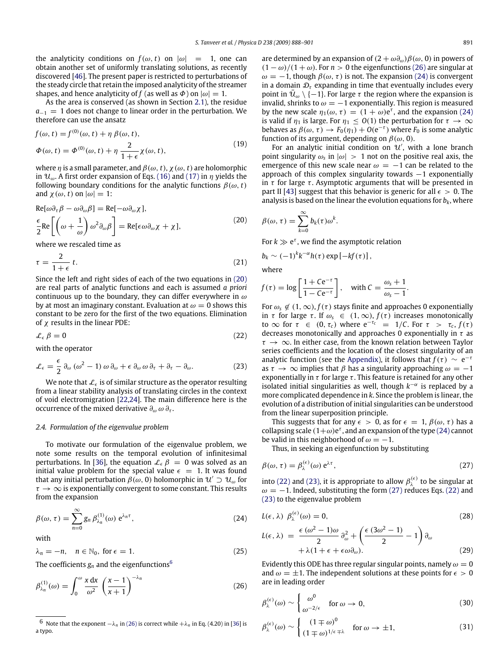the analyticity conditions on  $f(\omega, t)$  on  $|\omega| = 1$ , one can obtain another set of uniformly translating solutions, as recently discovered [46]. The present paper is restricted to perturbations of the steady circle that retain the imposed analyticity of the streamer shapes, and hence analyticity of *f* (as well as  $\Phi$ ) on  $|\omega| = 1$ .

As the area is conserved (as shown in Section 2.1), the residue  $a_{-1} = 1$  does not change to linear order in the perturbation. We therefore can use the ansatz

$$
f(\omega, t) = f^{(0)}(\omega, t) + \eta \beta(\omega, t),
$$
  
\n
$$
\Phi(\omega, t) = \Phi^{(0)}(\omega, t) + \eta \frac{2}{1 + \epsilon} \chi(\omega, t),
$$
\n(19)

where  $\eta$  is a small parameter, and  $\beta(\omega, t)$ ,  $\chi(\omega, t)$  are holomorphic in  $\mathcal{U}_{\omega}$ . A first order expansion of Eqs. (16) and (17) in  $\eta$  yields the following boundary conditions for the analytic functions  $\beta(\omega, t)$ and  $\chi(\omega, t)$  on  $|\omega| = 1$ :

$$
Re[\omega \partial_{\tau} \beta - \omega \partial_{\omega} \beta] = Re[-\omega \partial_{\omega} \chi],
$$
  
\n
$$
\frac{\epsilon}{2} Re\left[ \left( \omega + \frac{1}{\omega} \right) \omega^2 \partial_{\omega} \beta \right] = Re[\epsilon \omega \partial_{\omega} \chi + \chi],
$$
\n(20)

where we rescaled time as

$$
\tau = \frac{2}{1+\epsilon} t. \tag{21}
$$

Since the left and right sides of each of the two equations in (20) are real parts of analytic functions and each is assumed *a priori* continuous up to the boundary, they can differ everywhere in  $\omega$ by at most an imaginary constant. Evaluation at  $\omega = 0$  shows this constant to be zero for the first of the two equations. Elimination of  $\chi$  results in the linear PDE:

$$
\mathcal{L}_{\epsilon} \beta = 0 \tag{22}
$$

with the operator

$$
\mathcal{L}_{\epsilon} = \frac{\epsilon}{2} \, \partial_{\omega} \, (\omega^2 - 1) \, \omega \, \partial_{\omega} + \epsilon \, \partial_{\omega} \, \omega \, \partial_{\tau} + \partial_{\tau} - \partial_{\omega}.\tag{23}
$$

We note that  $\mathcal{L}_{\epsilon}$  is of similar structure as the operator resulting from a linear stability analysis of translating circles in the context of void electromigration [22,24]. The main difference here is the occurrence of the mixed derivative  $\partial_{\omega} \omega \partial_{\tau}$ .

#### *2.4. Formulation of the eigenvalue problem*

To motivate our formulation of the eigenvalue problem, we note some results on the temporal evolution of infinitesimal perturbations. In [36], the equation  $\mathcal{L}_{\epsilon} \beta = 0$  was solved as an initial value problem for the special value  $\epsilon = 1$ . It was found that any initial perturbation  $\beta(\omega, 0)$  holomorphic in  $\mathcal{U} \supset \mathcal{U}_{\omega}$  for  $\tau \to \infty$  is exponentially convergent to some constant. This results from the expansion

$$
\beta(\omega,\tau) = \sum_{n=0}^{\infty} g_n \beta_{\lambda_n}^{(1)}(\omega) e^{\lambda_n \tau},
$$
\n(24)

with

$$
\lambda_n = -n, \quad n \in \mathbb{N}_0, \text{ for } \epsilon = 1. \tag{25}
$$

The coefficients  $g_n$  and the eigenfunctions<sup>6</sup>

$$
\beta_{\lambda_n}^{(1)}(\omega) = \int_0^{\omega} \frac{x \, dx}{\omega^2} \left(\frac{x-1}{x+1}\right)^{-\lambda_n} \tag{26}
$$

are determined by an expansion of  $(2 + \omega \partial_{\omega})\beta(\omega, 0)$  in powers of  $(1 - \omega)/(1 + \omega)$ . For  $n > 0$  the eigenfunctions (26) are singular at  $\omega = -1$ , though  $\beta(\omega, \tau)$  is not. The expansion (24) is convergent in a domain  $\mathcal{D}_{\tau}$  expanding in time that eventually includes every point in  $\bar{u}_{\omega} \setminus \{-1\}$ . For large τ the region where the expansion is invalid, shrinks to  $\omega = -1$  exponentially. This region is measured by the new scale  $\eta_1(\omega, \tau) = (1 + \omega) e^{\tau}$ , and the expansion (24) is valid if  $\eta_1$  is large. For  $\eta_1 \leq O(1)$  the perturbation for  $\tau \to \infty$ behaves as  $\beta(\omega, \tau) \to F_0(\eta_1) + O(e^{-\tau})$  where  $F_0$  is some analytic function of its argument, depending on  $\beta(\omega, 0)$ .

For an analytic initial condition on  $\mathcal{U}'$ , with a lone branch point singularity  $\omega_s$  in  $|\omega| > 1$  not on the positive real axis, the emergence of this new scale near  $\omega = -1$  can be related to the approach of this complex singularity towards  $-1$  exponentially in  $\tau$  for large  $\tau$ . Asymptotic arguments that will be presented in part II [43] suggest that this behavior is generic for all  $\epsilon > 0$ . The analysis is based on the linear the evolution equations for  $b_k$ , where

$$
\beta(\omega,\tau)=\sum_{k=0}^{\infty}b_k(\tau)\omega^k.
$$

For  $k \gg e^{\tau}$ , we find the asymptotic relation

$$
b_k \sim (-1)^k k^{-\alpha} h(\tau) \exp \left[-kf(\tau)\right],
$$

where

$$
f(\tau) = \log \left[ \frac{1 + C e^{-\tau}}{1 - C e^{-\tau}} \right], \quad \text{with } C = \frac{\omega_s + 1}{\omega_s - 1}.
$$

For  $\omega_s \notin (1, \infty)$ ,  $f(\tau)$  stays finite and approaches 0 exponentially in  $\tau$  for large  $\tau$ . If  $\omega_s \in (1, \infty)$ ,  $f(\tau)$  increases monotonically to  $\infty$  for  $\tau \in (0, \tau_c)$  where  $e^{-\tau_c} = 1/C$ . For  $\tau > \tau_c$ ,  $f(\tau)$ decreases monotonically and approaches 0 exponentially in  $\tau$  as  $\tau \rightarrow \infty$ . In either case, from the known relation between Taylor series coefficients and the location of the closest singularity of an analytic function (see the Appendix), it follows that  $f(\tau) \sim e^{-\tau}$ as  $\tau \to \infty$  implies that  $\beta$  has a singularity approaching  $\omega = -1$ exponentially in  $\tau$  for large  $\tau$ . This feature is retained for any other isolated initial singularities as well, though  $k^{-\alpha}$  is replaced by a more complicated dependence in *k*. Since the problem is linear, the evolution of a distribution of initial singularities can be understood from the linear superposition principle.

This suggests that for any  $\epsilon > 0$ , as for  $\epsilon = 1$ ,  $\beta(\omega, \tau)$  has a collapsing scale  $(1+\omega)e^{\tau}$ , and an expansion of the type (24) cannot be valid in this neighborhood of  $\omega = -1$ .

Thus, in seeking an eigenfunction by substituting

$$
\beta(\omega,\tau) = \beta_{\lambda}^{(\epsilon)}(\omega) e^{\lambda \tau},\tag{27}
$$

into (22) and (23), it is appropriate to allow  $\beta_{\lambda}^{(\epsilon)}$  to be singular at  $\omega = -1$ . Indeed, substituting the form (27) reduces Eqs. (22) and (23) to the eigenvalue problem

$$
L(\epsilon, \lambda) \beta_{\lambda}^{(\epsilon)}(\omega) = 0, \qquad (28)
$$

$$
L(\epsilon, \lambda) = \frac{\epsilon (\omega^2 - 1)\omega}{2} \partial_{\omega}^2 + \left(\frac{\epsilon (3\omega^2 - 1)}{2} - 1\right) \partial_{\omega} + \lambda (1 + \epsilon + \epsilon \omega \partial_{\omega}).
$$
\n(29)

Evidently this ODE has three regular singular points, namely  $\omega = 0$ and  $\omega = \pm 1$ . The independent solutions at these points for  $\epsilon > 0$ are in leading order

$$
\beta_{\lambda}^{(\epsilon)}(\omega) \sim \begin{cases} \omega^0 & \text{for } \omega \to 0, \\ \omega^{-2/\epsilon} & \text{for } \omega \to 0, \end{cases}
$$
 (30)

$$
\beta_{\lambda}^{(\epsilon)}(\omega) \sim \begin{cases} (1 \mp \omega)^0 & \text{for } \omega \to \pm 1, \\ (1 \mp \omega)^{1/\epsilon + \lambda} & \text{for } \omega \to \pm 1, \end{cases}
$$
 (31)

<sup>6</sup> Note that the exponent  $-\lambda_n$  in (26) is correct while  $+\lambda_n$  in Eq. (4.20) in [36] is a typo.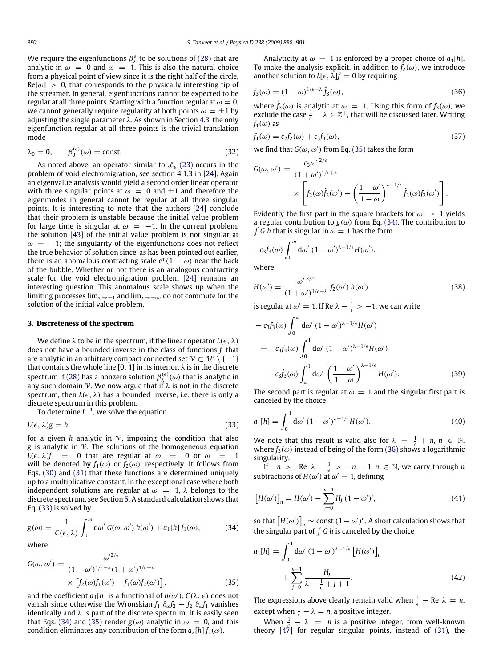We require the eigenfunctions  $\beta_{\lambda}^{\epsilon}$  to be solutions of (28) that are analytic in  $\omega = 0$  and  $\omega = 1$ . This is also the natural choice from a physical point of view since it is the right half of the circle,  $Re[\omega] > 0$ , that corresponds to the physically interesting tip of the streamer. In general, eigenfunctions cannot be expected to be regular at all three points. Starting with a function regular at  $\omega = 0$ , we cannot generally require regularity at both points  $\omega = \pm 1$  by adjusting the single parameter  $\lambda$ . As shown in Section 4.3, the only eigenfunction regular at all three points is the trivial translation mode

$$
\lambda_0 = 0, \qquad \beta_0^{(\epsilon)}(\omega) = \text{const.} \tag{32}
$$

As noted above, an operator similar to  $\mathcal{L}_{\epsilon}$  (23) occurs in the problem of void electromigration, see section 4.1.3 in [24]. Again an eigenvalue analysis would yield a second order linear operator with three singular points at  $\omega = 0$  and  $\pm 1$  and therefore the eigenmodes in general cannot be regular at all three singular points. It is interesting to note that the authors [24] conclude that their problem is unstable because the initial value problem for large time is singular at  $\omega = -1$ . In the current problem, the solution [43] of the initial value problem is not singular at  $\omega = -1$ ; the singularity of the eigenfunctions does not reflect the true behavior of solution since, as has been pointed out earlier, there is an anomalous contracting scale  $e^{\tau}(1+\omega)$  near the back of the bubble. Whether or not there is an analogous contracting scale for the void electromigration problem [24] remains an interesting question. This anomalous scale shows up when the limiting processes lim<sub>ω→−1</sub> and lim<sub> $\tau \rightarrow +\infty$ </sub> do not commute for the solution of the initial value problem.

#### **3. Discreteness of the spectrum**

We define  $\lambda$  to be in the spectrum, if the linear operator  $L(\epsilon, \lambda)$ does not have a bounded inverse in the class of functions *f* that are analytic in an arbitrary compact connected set  $\mathcal{V} \subset \mathcal{U}' \setminus \{-1\}$ that contains the whole line [0, 1] in its interior.  $\lambda$  is in the discrete spectrum if (28) has a nonzero solution  $\beta_\lambda^{(\epsilon)}(\omega)$  that is analytic in any such domain  $\mathcal V.$  We now argue that if  $\lambda$  is not in the discrete spectrum, then  $L(\epsilon, \lambda)$  has a bounded inverse, i.e. there is only a discrete spectrum in this problem.

To determine  $L^{-1}$ , we solve the equation

$$
L(\epsilon, \lambda)g = h \tag{33}
$$

for a given  $h$  analytic in  $V$ , imposing the condition that also *g* is analytic in V. The solutions of the homogeneous equation  $L(\epsilon, \lambda) f = 0$  that are regular at  $\omega = 0$  or  $\omega = 1$ will be denoted by  $f_1(\omega)$  or  $f_2(\omega)$ , respectively. It follows from Eqs. (30) and (31) that these functions are determined uniquely up to a multiplicative constant. In the exceptional case where both independent solutions are regular at  $\omega = 1$ ,  $\lambda$  belongs to the discrete spectrum, see Section 5. A standard calculation shows that Eq. (33) is solved by

$$
g(\omega) = \frac{1}{C(\epsilon, \lambda)} \int_0^{\omega} d\omega' G(\omega, \omega') h(\omega') + a_1[h] f_1(\omega), \tag{34}
$$

where

$$
G(\omega, \omega') = \frac{\omega'^{2/\epsilon}}{(1 - \omega')^{1/\epsilon - \lambda} (1 + \omega')^{1/\epsilon + \lambda}}
$$

$$
\times \left[ f_2(\omega) f_1(\omega') - f_1(\omega) f_2(\omega') \right],
$$
(35)

 $12/\epsilon$ 

and the coefficient  $a_1[h]$  is a functional of  $h(\omega')$ .  $C(\lambda, \epsilon)$  does not vanish since otherwise the Wronskian  $f_1$   $\partial_{\omega} f_2 - f_2$   $\partial_{\omega} f_1$  vanishes identically and  $\lambda$  is part of the discrete spectrum. It is easily seen that Eqs. (34) and (35) render  $g(\omega)$  analytic in  $\omega = 0$ , and this condition eliminates any contribution of the form  $a_2[h] f_2(\omega)$ .

Analyticity at  $\omega = 1$  is enforced by a proper choice of  $a_1[h]$ . To make the analysis explicit, in addition to  $f_2(\omega)$ , we introduce another solution to  $L[\epsilon, \lambda]f = 0$  by requiring

$$
f_3(\omega) = (1 - \omega)^{1/\epsilon - \lambda} \hat{f}_3(\omega),\tag{36}
$$

where  $\hat{f}_3(\omega)$  is analytic at  $\omega = 1$ . Using this form of  $f_3(\omega)$ , we exclude the case  $\frac{1}{\epsilon} - \lambda \in \mathbb{Z}^+$ , that will be discussed later. Writing  $f_1(\omega)$  as

$$
f_1(\omega) = c_2 f_2(\omega) + c_3 f_3(\omega),
$$
\n(37)

we find that  $G(\omega, \omega')$  from Eq. (35) takes the form

$$
G(\omega, \omega') = \frac{c_3 \omega'^{2/\epsilon}}{(1 + \omega')^{1/\epsilon + \lambda}}
$$

$$
\times \left[ f_2(\omega) \hat{f}_3(\omega') - \left( \frac{1 - \omega'}{1 - \omega} \right)^{\lambda - 1/\epsilon} \hat{f}_3(\omega) f_2(\omega') \right].
$$

Evidently the first part in the square brackets for  $\omega \rightarrow 1$  yields a regular contribution to  $g(\omega)$  from Eq. (34). The contribution to  $\int G$  h that is singular in  $\omega = 1$  has the form

$$
-c_3f_3(\omega)\int_0^\omega \mathrm{d}\omega'\,(1-\omega')^{\lambda-1/\epsilon}H(\omega'),
$$

where

$$
H(\omega') = \frac{\omega'^{2/\epsilon}}{(1+\omega')^{1/\epsilon+\lambda}} f_2(\omega') h(\omega')
$$
 (38)

is regular at  $\omega' = 1$ . If Re  $\lambda - \frac{1}{\epsilon} > -1$ , we can write

$$
- c_3 f_3(\omega) \int_0^{\omega} d\omega' (1 - \omega')^{\lambda - 1/\epsilon} H(\omega')
$$
  
=  $- c_3 f_3(\omega) \int_0^1 d\omega' (1 - \omega')^{\lambda - 1/\epsilon} H(\omega')$   
+  $c_3 \hat{f}_3(\omega) \int_\omega^1 d\omega' \left(\frac{1 - \omega'}{1 - \omega}\right)^{\lambda - 1/\epsilon} H(\omega').$  (39)

The second part is regular at  $\omega = 1$  and the singular first part is canceled by the choice

$$
a_1[h] = \int_0^1 d\omega' (1 - \omega')^{\lambda - 1/\epsilon} H(\omega').
$$
 (40)

We note that this result is valid also for  $\lambda = \frac{1}{\epsilon} + n, n \in \mathbb{N}$ , where  $f_3(\omega)$  instead of being of the form (36) shows a logarithmic singularity.

If  $-n >$  Re  $\lambda - \frac{1}{\epsilon} > -n - 1$ ,  $n \in \mathbb{N}$ , we carry through *n* subtractions of  $H(\omega')$  at  $\omega' = 1$ , defining

$$
[H(\omega')]_n = H(\omega') - \sum_{j=0}^{n-1} H_j (1 - \omega')^j,
$$
 (41)

so that  $\left[H(\omega')\right]_n \sim \text{const } (1 - \omega')^n$ . A short calculation shows that the singular part of  $\int G h$  is canceled by the choice

$$
a_1[h] = \int_0^1 d\omega' (1 - \omega')^{\lambda - 1/\epsilon} \left[ H(\omega') \right]_n
$$
  
+ 
$$
\sum_{j=0}^{n-1} \frac{H_j}{\lambda - \frac{1}{\epsilon} + j + 1}.
$$
 (42)

The expressions above clearly remain valid when  $\frac{1}{\epsilon}$  – Re  $\lambda = n$ , except when  $\frac{1}{\epsilon} - \lambda = n$ , a positive integer.

When  $\frac{1}{2} - \lambda = n$  is a positive integer, from well-known theory  $[4\overline{7}]$  for regular singular points, instead of (31), the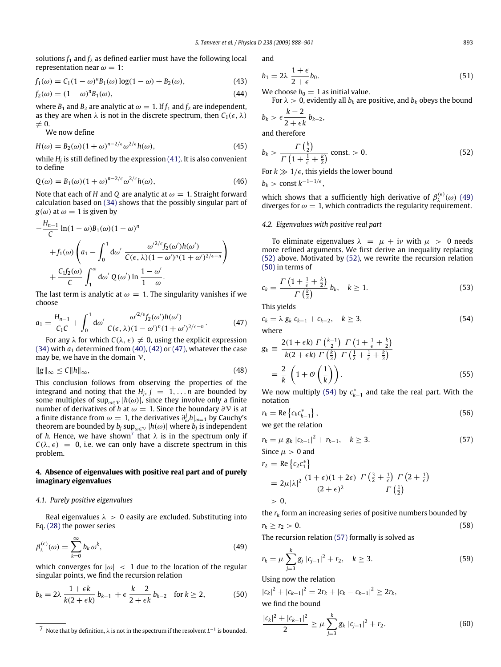solutions  $f_1$  and  $f_2$  as defined earlier must have the following local representation near  $\omega = 1$ :

$$
f_1(\omega) = C_1 (1 - \omega)^n B_1(\omega) \log(1 - \omega) + B_2(\omega),
$$
 (43)

$$
f_2(\omega) = (1 - \omega)^n B_1(\omega),\tag{44}
$$

where  $B_1$  and  $B_2$  are analytic at  $\omega = 1$ . If  $f_1$  and  $f_2$  are independent, as they are when  $\lambda$  is not in the discrete spectrum, then  $C_1(\epsilon, \lambda)$  $\neq 0$ .

We now define

$$
H(\omega) = B_2(\omega)(1+\omega)^{n-2/\epsilon} \omega^{2/\epsilon} h(\omega),
$$
\n(45)

while *H<sup>j</sup>* is still defined by the expression (41). It is also convenient to define

$$
Q(\omega) = B_1(\omega)(1+\omega)^{n-2/\epsilon} \omega^{2/\epsilon} h(\omega), \tag{46}
$$

Note that each of *H* and *Q* are analytic at  $\omega = 1$ . Straight forward calculation based on (34) shows that the possibly singular part of  $g(\omega)$  at  $\omega = 1$  is given by

$$
-\frac{H_{n-1}}{C}\ln(1-\omega)B_1(\omega)(1-\omega)^n
$$
  
+ $f_1(\omega)\left(a_1-\int_0^1 d\omega'\frac{\omega^{2/\epsilon}f_2(\omega')h(\omega')}{C(\epsilon,\lambda)(1-\omega')^n(1+\omega')^{2/\epsilon-n}}\right)$   
+ $\frac{C_1f_2(\omega)}{C}\int_1^{\omega} d\omega' Q(\omega')\ln\frac{1-\omega'}{1-\omega}.$ 

The last term is analytic at  $\omega = 1$ . The singularity vanishes if we choose

$$
a_1 = \frac{H_{n-1}}{C_1C} + \int_0^1 d\omega' \frac{\omega'^{2/\epsilon} f_2(\omega')h(\omega')}{C(\epsilon, \lambda)(1 - \omega')^n (1 + \omega')^{2/\epsilon - n}}.
$$
 (47)

For any  $\lambda$  for which  $C(\lambda, \epsilon) \neq 0$ , using the explicit expression (34) with  $a_1$  determined from (40), (42) or (47), whatever the case may be, we have in the domain  $\nu$ ,

$$
||g||_{\infty} \le C ||h||_{\infty}, \tag{48}
$$

This conclusion follows from observing the properties of the integrand and noting that the  $H_j$ ,  $j = 1, \ldots n$  are bounded by some multiples of sup<sub> $\omega \in V$ </sub>  $|h(\omega)|$ , since they involve only a finite number of derivatives of *h* at  $\omega = 1$ . Since the boundary  $\partial \mathcal{V}$  is at a finite distance from  $\omega = 1$ , the derivatives  $\partial_{\omega}^{j}h|_{\omega=1}$  by Cauchy's theorem are bounded by  $b_j \sup_{\omega \in \mathcal{V}} |h(\omega)|$  where  $b_j$  is independent of *h*. Hence, we have shown<sup>7</sup> that  $\lambda$  is in the spectrum only if  $C(\lambda, \epsilon) = 0$ , i.e. we can only have a discrete spectrum in this problem.

## **4. Absence of eigenvalues with positive real part and of purely imaginary eigenvalues**

# *4.1. Purely positive eigenvalues*

Real eigenvalues  $\lambda > 0$  easily are excluded. Substituting into Eq. (28) the power series

$$
\beta_{\lambda}^{(\epsilon)}(\omega) = \sum_{k=0}^{\infty} b_k \,\omega^k,\tag{49}
$$

which converges for  $|\omega|$  < 1 due to the location of the regular singular points, we find the recursion relation

$$
b_k = 2\lambda \frac{1+\epsilon k}{k(2+\epsilon k)} b_{k-1} + \epsilon \frac{k-2}{2+\epsilon k} b_{k-2} \quad \text{for } k \ge 2,
$$
 (50)

and

$$
b_1 = 2\lambda \frac{1+\epsilon}{2+\epsilon} b_0. \tag{51}
$$

We choose  $b_0 = 1$  as initial value.

For  $\lambda > 0$ , evidently all  $b_k$  are positive, and  $b_k$  obeys the bound  $k - 2$ 

$$
b_k > \epsilon \frac{1}{2 + \epsilon k} b_{k-2},
$$

and therefore

$$
b_k > \frac{\Gamma\left(\frac{k}{2}\right)}{\Gamma\left(1 + \frac{1}{\epsilon} + \frac{k}{2}\right)} \text{ const.} > 0. \tag{52}
$$

For  $k \gg 1/\epsilon$ , this yields the lower bound

 $b_k$  > const  $k^{-1-1/\epsilon}$ ,

which shows that a sufficiently high derivative of  $\beta_{\lambda}^{(\epsilon)}(\omega)$  (49) diverges for  $\omega = 1$ , which contradicts the regularity requirement.

#### *4.2. Eigenvalues with positive real part*

To eliminate eigenvalues  $\lambda = \mu + i\nu$  with  $\mu > 0$  needs more refined arguments. We first derive an inequality replacing (52) above. Motivated by (52), we rewrite the recursion relation (50) in terms of

$$
c_k = \frac{\Gamma\left(1 + \frac{1}{\epsilon} + \frac{k}{2}\right)}{\Gamma\left(\frac{k}{2}\right)} b_k, \quad k \ge 1.
$$
\n
$$
(53)
$$

This yields

$$
c_k = \lambda g_k c_{k-1} + c_{k-2}, \quad k \ge 3,
$$
  
where

$$
g_k \equiv \frac{2(1+\epsilon k) \Gamma\left(\frac{k-1}{2}\right) \Gamma\left(1+\frac{1}{\epsilon}+\frac{k}{2}\right)}{k(2+\epsilon k) \Gamma\left(\frac{k}{2}\right) \Gamma\left(\frac{1}{2}+\frac{1}{\epsilon}+\frac{k}{2}\right)}
$$

$$
= \frac{2}{k} \left(1+\mathcal{O}\left(\frac{1}{k}\right)\right). \tag{55}
$$

We now multiply (54) by  $c_{k-1}^*$  and take the real part. With the notation

$$
r_k = \text{Re}\left\{c_k c_{k-1}^*\right\},\tag{56}
$$

we get the relation

$$
r_k = \mu g_k |c_{k-1}|^2 + r_{k-1}, \quad k \ge 3.
$$
 (57)  
Since  $\mu > 0$  and

$$
r_2 = \text{Re}\left\{c_2 c_1^*\right\}
$$
  
=  $2\mu |\lambda|^2 \frac{(1+\epsilon)(1+2\epsilon)}{(2+\epsilon)^2} \frac{\Gamma\left(\frac{3}{2}+\frac{1}{\epsilon}\right) \Gamma\left(2+\frac{1}{\epsilon}\right)}{\Gamma\left(\frac{1}{2}\right)}$   
> 0,

the  $r_k$  form an increasing series of positive numbers bounded by  $r_k \ge r_2 > 0.$  (58)

The recursion relation (57) formally is solved as

$$
r_k = \mu \sum_{j=3}^k g_j \, |c_{j-1}|^2 + r_2, \quad k \ge 3. \tag{59}
$$

Using now the relation

 $|c_k|^2 + |c_{k-1}|^2 = 2r_k + |c_k - c_{k-1}|^2 \geq 2r_k$ we find the bound

$$
\frac{|c_k|^2+|c_{k-1}|^2}{2} \ge \mu \sum_{j=3}^k g_k |c_{j-1}|^2 + r_2. \tag{60}
$$

<sup>7</sup> Note that by definition, λ is not in the spectrum if the resolvent *L*<sup>−1</sup> is bounded.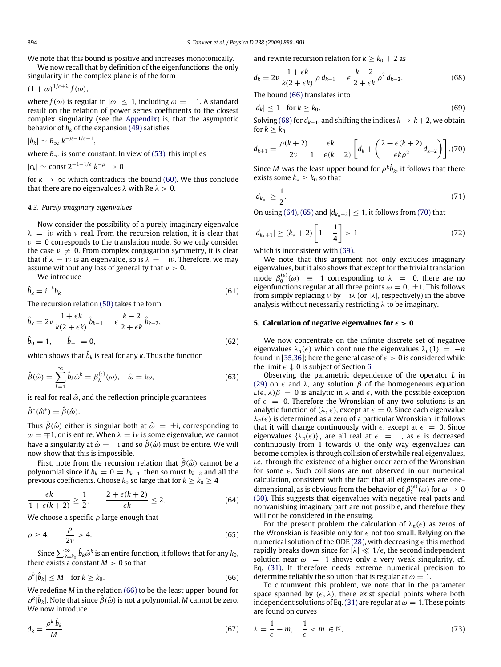We note that this bound is positive and increases monotonically. We now recall that by definition of the eigenfunctions, the only

singularity in the complex plane is of the form

$$
(1+\omega)^{1/\epsilon+\lambda} f(\omega),
$$

where  $f(\omega)$  is regular in  $|\omega| \leq 1$ , including  $\omega = -1$ . A standard result on the relation of power series coefficients to the closest complex singularity (see the Appendix) is, that the asymptotic behavior of  $b_k$  of the expansion (49) satisfies

$$
|b_k| \sim B_\infty k^{-\mu-1/\epsilon-1}
$$

where  $B_{\infty}$  is some constant. In view of (53), this implies

,

 $|c_k|$  ∼ const 2<sup>-1-1/ $\epsilon$ </sup>  $k^{-\mu}$  → 0

for  $k \to \infty$  which contradicts the bound (60). We thus conclude that there are no eigenvalues  $\lambda$  with Re  $\lambda > 0$ .

## *4.3. Purely imaginary eigenvalues*

Now consider the possibility of a purely imaginary eigenvalue  $\lambda$  = iv with v real. From the recursion relation, it is clear that  $v = 0$  corresponds to the translation mode. So we only consider the case  $v \neq 0$ . From complex conjugation symmetry, it is clear that if  $\lambda = iv$  is an eigenvalue, so is  $\lambda = -iv$ . Therefore, we may assume without any loss of generality that  $v > 0$ .

We introduce

$$
\hat{b}_k = i^{-k} b_k.
$$
\n(61)

The recursion relation (50) takes the form

$$
\hat{b}_k = 2\nu \frac{1 + \epsilon k}{k(2 + \epsilon k)} \hat{b}_{k-1} - \epsilon \frac{k-2}{2 + \epsilon k} \hat{b}_{k-2},
$$
  
\n
$$
\hat{b}_0 = 1, \qquad \hat{b}_{-1} = 0,
$$
\n(62)

which shows that  $\hat{b}_k$  is real for any  $k$ . Thus the function

$$
\hat{\beta}(\hat{\omega}) = \sum_{k=1}^{\infty} \hat{b}_k \hat{\omega}^k = \beta_{\lambda}^{(\epsilon)}(\omega), \quad \hat{\omega} = i\omega,
$$
\n(63)

is real for real  $\hat{\omega}$ , and the reflection principle guarantees

 $\hat{\beta}^*(\hat{\omega}^*) = \hat{\beta}(\hat{\omega}).$ 

Thus  $\hat{\beta}(\hat{\omega})$  either is singular both at  $\hat{\omega} = \pm i$ , corresponding to  $\omega = \pm 1$ , or is entire. When  $\lambda = i\nu$  is some eigenvalue, we cannot have a singularity at  $\hat{\omega} = -i$  and so  $\hat{\beta}(\hat{\omega})$  must be entire. We will now show that this is impossible.

First, note from the recursion relation that  $\hat{\beta}(\hat{\omega})$  cannot be a polynomial since if  $b_k = 0 = b_{k-1}$ , then so must  $b_{k-2}$  and all the previous coefficients. Choose  $k_0$  so large that for  $k \geq k_0 \geq 4$ 

$$
\frac{\epsilon k}{1+\epsilon(k+2)}\geq \frac{1}{2}, \qquad \frac{2+\epsilon(k+2)}{\epsilon k}\leq 2.
$$
 (64)

We choose a specific  $\rho$  large enough that

$$
\rho \ge 4, \qquad \frac{\rho}{2\nu} > 4. \tag{65}
$$

Since  $\sum_{k=k_0}^\infty \hat{b}_k \hat{\omega}^k$  is an entire function, it follows that for any  $k_0$ , there exists a constant  $M > 0$  so that

$$
\rho^k|\hat{b}_k| \le M \quad \text{for } k \ge k_0. \tag{66}
$$

We redefine *M* in the relation (66) to be the least upper-bound for  $\rho^k|\hat{b}_k|$ . Note that since  $\hat{\boldsymbol{\beta}}(\hat{\omega})$  is not a polynomial,  $M$  cannot be zero. We now introduce

$$
d_k = \frac{\rho^k \,\hat{b}_k}{M} \tag{67}
$$

and rewrite recursion relation for  $k \geq k_0 + 2$  as

$$
d_k = 2\nu \, \frac{1 + \epsilon k}{k(2 + \epsilon k)} \, \rho \, d_{k-1} \, - \epsilon \, \frac{k-2}{2 + \epsilon k} \, \rho^2 \, d_{k-2}.\tag{68}
$$

The bound (66) translates into

 $|d_k| \leq 1$  for  $k \geq k_0$ .

$$
(69)
$$

Solving (68) for  $d_{k-1}$ , and shifting the indices  $k \to k+2$ , we obtain for  $k > k_0$ 

$$
d_{k+1} = \frac{\rho(k+2)}{2\nu} \frac{\epsilon k}{1+\epsilon(k+2)} \left[ d_k + \left( \frac{2+\epsilon(k+2)}{\epsilon k \rho^2} d_{k+2} \right) \right].{(70)}
$$

Since *M* was the least upper bound for  $\rho^k \hat{b}_k$ , it follows that there exists some  $k_* \geq k_0$  so that

$$
|d_{k_*}| \ge \frac{1}{2}.\tag{71}
$$

On using (64), (65) and  $|d_{k_*+2}| \leq 1$ , it follows from (70) that

$$
|d_{k_*+1}| \ge (k_*+2)\left[1-\frac{1}{4}\right] > 1\tag{72}
$$

which is inconsistent with (69).

We note that this argument not only excludes imaginary eigenvalues, but it also shows that except for the trivial translation mode  $\beta_0^{(\epsilon)}(\omega)$  = 1 corresponding to  $\lambda$  = 0, there are no eigenfunctions regular at all three points  $\omega = 0, \pm 1$ . This follows from simply replacing  $\nu$  by  $-i\lambda$  (or  $|\lambda|$ , respectively) in the above analysis without necessarily restricting  $\lambda$  to be imaginary.

## **5. Calculation of negative eigenvalues for**  $\epsilon > 0$

We now concentrate on the infinite discrete set of negative eigenvalues  $\lambda_n(\epsilon)$  which continue the eigenvalues  $\lambda_n(1) = -n$ found in [35,36]; here the general case of  $\epsilon > 0$  is considered while the limit  $\epsilon \downarrow 0$  is subject of Section 6.

Observing the parametric dependence of the operator *L* in (29) on  $\epsilon$  and λ, any solution  $\beta$  of the homogeneous equation  $L(\epsilon, \lambda)\beta = 0$  is analytic in  $\lambda$  and  $\epsilon$ , with the possible exception of  $\epsilon = 0$ . Therefore the Wronskian of any two solutions is an analytic function of  $(\lambda, \epsilon)$ , except at  $\epsilon = 0$ . Since each eigenvalue  $\lambda_n(\epsilon)$  is determined as a zero of a particular Wronskian, it follows that it will change continuously with  $\epsilon$ , except at  $\epsilon = 0$ . Since eigenvalues  $\{\lambda_n(\epsilon)\}_n$  are all real at  $\epsilon = 1$ , as  $\epsilon$  is decreased continuously from 1 towards 0, the only way eigenvalues can become complex is through collision of erstwhile real eigenvalues, *i.e.*, through the existence of a higher order zero of the Wronskian for some  $\epsilon$ . Such collisions are not observed in our numerical calculation, consistent with the fact that all eigenspaces are onedimensional, as is obvious from the behavior of  $\beta_{\lambda}^{(\epsilon)}(\omega)$  for  $\omega \to 0$ (30). This suggests that eigenvalues with negative real parts and nonvanishing imaginary part are not possible, and therefore they will not be considered in the ensuing.

For the present problem the calculation of  $\lambda_n(\epsilon)$  as zeros of the Wronskian is feasible only for  $\epsilon$  not too small. Relying on the numerical solution of the ODE (28), with decreasing  $\epsilon$  this method rapidly breaks down since for  $|\lambda| \ll 1/\epsilon$ , the second independent solution near  $\omega = 1$  shows only a very weak singularity, cf. Eq. (31). It therefore needs extreme numerical precision to determine reliably the solution that is regular at  $\omega = 1$ .

To circumvent this problem, we note that in the parameter space spanned by  $(\epsilon, \lambda)$ , there exist special points where both independent solutions of Eq. (31) are regular at  $\omega = 1$ . These points are found on curves

$$
\lambda = \frac{1}{\epsilon} - m, \quad \frac{1}{\epsilon} < m \in \mathbb{N},\tag{73}
$$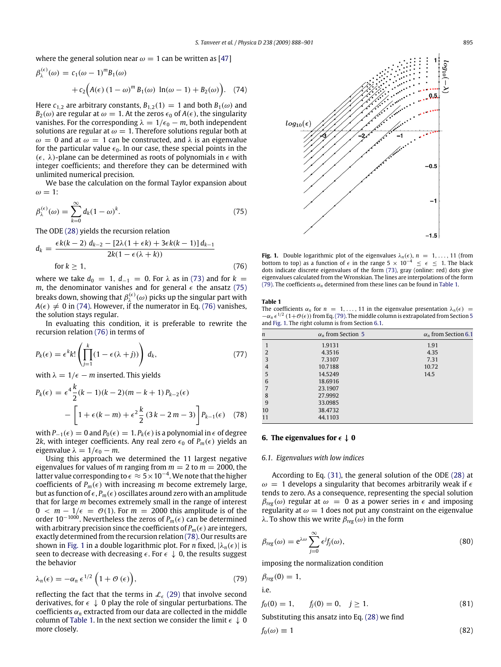where the general solution near  $\omega = 1$  can be written as [47]

$$
\beta_{\lambda}^{(\epsilon)}(\omega) = c_1(\omega - 1)^m B_1(\omega) + c_2 (A(\epsilon) (1 - \omega)^m B_1(\omega) \ln(\omega - 1) + B_2(\omega)).
$$
 (74)

Here  $c_{1,2}$  are arbitrary constants,  $B_{1,2}(1) = 1$  and both  $B_1(\omega)$  and  $B_2(\omega)$  are regular at  $\omega = 1$ . At the zeros  $\epsilon_0$  of  $A(\epsilon)$ , the singularity vanishes. For the corresponding  $\lambda = 1/\epsilon_0 - m$ , both independent solutions are regular at  $\omega = 1$ . Therefore solutions regular both at  $\omega = 0$  and at  $\omega = 1$  can be constructed, and  $\lambda$  is an eigenvalue for the particular value  $\epsilon_0$ . In our case, these special points in the  $(\epsilon, \lambda)$ -plane can be determined as roots of polynomials in  $\epsilon$  with integer coefficients; and therefore they can be determined with unlimited numerical precision.

We base the calculation on the formal Taylor expansion about  $\omega = 1$ :

$$
\beta_{\lambda}^{(\epsilon)}(\omega) = \sum_{k=0}^{\infty} d_k (1 - \omega)^k.
$$
\n(75)

The ODE (28) yields the recursion relation

$$
d_k = \frac{\epsilon k(k-2) d_{k-2} - [2\lambda(1+\epsilon k) + 3\epsilon k(k-1)] d_{k-1}}{2k(1-\epsilon(\lambda+k))}
$$
  
for  $k \ge 1$ , (76)

where we take  $d_0 = 1$ ,  $d_{-1} = 0$ . For  $\lambda$  as in (73) and for  $k =$ *m*, the denominator vanishes and for general  $\epsilon$  the ansatz (75) breaks down, showing that  $\beta_{\lambda}^{(\epsilon)}(\omega)$  picks up the singular part with  $A(\epsilon) \neq 0$  in (74). However, if the numerator in Eq. (76) vanishes, the solution stays regular.

In evaluating this condition, it is preferable to rewrite the recursion relation (76) in terms of

$$
P_k(\epsilon) = \epsilon^k k! \left( \prod_{j=1}^k (1 - \epsilon(\lambda + j)) \right) d_k,
$$
 (77)

with  $\lambda = 1/\epsilon - m$  inserted. This yields

$$
P_k(\epsilon) = \epsilon^4 \frac{k}{2} (k-1)(k-2)(m-k+1) P_{k-2}(\epsilon)
$$
  
 
$$
- \left[ 1 + \epsilon (k-m) + \epsilon^2 \frac{k}{2} (3k-2m-3) \right] P_{k-1}(\epsilon) \quad (78)
$$

with  $P_{-1}(\epsilon) = 0$  and  $P_0(\epsilon) = 1$ .  $P_k(\epsilon)$  is a polynomial in  $\epsilon$  of degree 2*k*, with integer coefficients. Any real zero  $\epsilon_0$  of  $P_m(\epsilon)$  yields an eigenvalue  $\lambda = 1/\epsilon_0 - m$ .

Using this approach we determined the 11 largest negative eigenvalues for values of *m* ranging from  $m = 2$  to  $m = 2000$ , the latter value corresponding to  $\epsilon \approx 5\times 10^{-4}.$  We note that the higher coefficients of  $P_m(\epsilon)$  with increasing *m* become extremely large, but as function of  $\epsilon$ ,  $P_m(\epsilon)$  oscillates around zero with an amplitude that for large *m* becomes extremely small in the range of interest  $0 < m - 1/\epsilon = \mathcal{O}(1)$ . For  $m = 2000$  this amplitude is of the order 10<sup>-1000</sup>. Nevertheless the zeros of *P<sub>m</sub>*( $\epsilon$ ) can be determined with arbitrary precision since the coefficients of  $P_m(\epsilon)$  are integers, exactly determined from the recursion relation (78). Our results are shown in Fig. 1 in a double logarithmic plot. For *n* fixed,  $|\lambda_n(\epsilon)|$  is seen to decrease with decreasing  $\epsilon$ . For  $\epsilon \downarrow 0$ , the results suggest the behavior

$$
\lambda_n(\epsilon) = -\alpha_n \epsilon^{1/2} \left( 1 + \mathcal{O}(\epsilon) \right),\tag{79}
$$

reflecting the fact that the terms in  $\mathcal{L}_{\epsilon}$  (29) that involve second derivatives, for  $\epsilon \downarrow 0$  play the role of singular perturbations. The coefficients  $\alpha_n$  extracted from our data are collected in the middle column of Table 1. In the next section we consider the limit  $\epsilon \downarrow 0$ more closely.



**Fig. 1.** Double logarithmic plot of the eigenvalues  $\lambda_n(\epsilon)$ ,  $n = 1, \ldots, 11$  (from bottom to top) as a function of  $\epsilon$  in the range 5  $\times$  10<sup>-4</sup>  $\leq \epsilon \leq$  1. The black dots indicate discrete eigenvalues of the form (73), gray (online: red) dots give eigenvalues calculated from the Wronskian. The lines are interpolations of the form (79). The coefficients  $\alpha_n$  determined from these lines can be found in Table 1.

#### **Table 1**

The coefficients  $\alpha_n$  for  $n = 1, \ldots, 11$  in the eigenvalue presentation  $\lambda_n(\epsilon)$  =  $-\alpha_n \epsilon^{1/2}$  (1+ $\mathcal{O}(\epsilon)$ ) from Eq. (79). The middle column is extrapolated from Section 5 and Fig. 1. The right column is from Section 6.1.

| $\boldsymbol{n}$ | $\alpha_n$ from Section 5 | $\alpha$ <sub>n</sub> from Section 6.1 |
|------------------|---------------------------|----------------------------------------|
| 1                | 1.9131                    | 1.91                                   |
| $\overline{2}$   | 4.3516                    | 4.35                                   |
| 3                | 7.3107                    | 7.31                                   |
| $\overline{4}$   | 10.7188                   | 10.72                                  |
| 5                | 14.5249                   | 14.5                                   |
| 6                | 18.6916                   |                                        |
| 7                | 23.1907                   |                                        |
| 8                | 27.9992                   |                                        |
| 9                | 33.0985                   |                                        |
| 10               | 38.4732                   |                                        |
| 11               | 44.1103                   |                                        |
|                  |                           |                                        |

# **6.** The eigenvalues for  $\epsilon \downarrow 0$

### *6.1. Eigenvalues with low indices*

According to Eq. (31), the general solution of the ODE (28) at  $\omega = 1$  develops a singularity that becomes arbitrarily weak if  $\epsilon$ tends to zero. As a consequence, representing the special solution  $\beta_{reg}(\omega)$  regular at  $\omega = 0$  as a power series in  $\epsilon$  and imposing regularity at  $\omega = 1$  does not put any constraint on the eigenvalue λ. To show this we write β*reg* (ω) in the form

$$
\beta_{reg}(\omega) = e^{\lambda \omega} \sum_{j=0}^{\infty} \epsilon^j f_j(\omega), \qquad (80)
$$

imposing the normalization condition

$$
\beta_{reg}(0) = 1,
$$
  
i.e.

$$
f_0(0) = 1, \t f_j(0) = 0, \t j \ge 1.
$$
\t(81)

Substituting this ansatz into Eq. (28) we find

$$
f_0(\omega) \equiv 1 \tag{82}
$$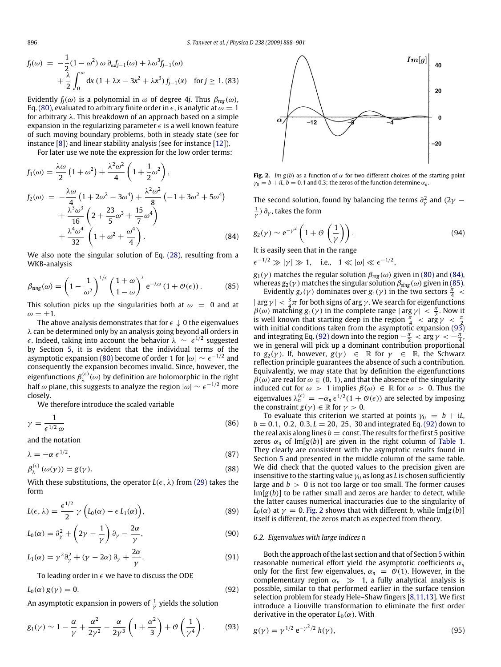$$
f_j(\omega) = -\frac{1}{2}(1 - \omega^2) \omega \partial_{\omega} f_{j-1}(\omega) + \lambda \omega^3 f_{j-1}(\omega) + \frac{\lambda}{2} \int_0^{\omega} dx (1 + \lambda x - 3x^2 + \lambda x^3) f_{j-1}(x) \text{ for } j \ge 1. (83)
$$

Evidently  $f_j(\omega)$  is a polynomial in  $\omega$  of degree 4*j*. Thus  $β_{reg}(\omega)$ , Eq. (80), evaluated to arbitrary finite order in  $\epsilon$ , is analytic at  $\omega = 1$ for arbitrary λ. This breakdown of an approach based on a simple expansion in the regularizing parameter  $\epsilon$  is a well known feature of such moving boundary problems, both in steady state (see for instance [8]) and linear stability analysis (see for instance [12]).

For later use we note the expression for the low order terms:

$$
f_1(\omega) = \frac{\lambda \omega}{2} \left( 1 + \omega^2 \right) + \frac{\lambda^2 \omega^2}{4} \left( 1 + \frac{1}{2} \omega^2 \right),
$$
  
\n
$$
f_2(\omega) = -\frac{\lambda \omega}{4} \left( 1 + 2\omega^2 - 3\omega^4 \right) + \frac{\lambda^2 \omega^2}{8} \left( -1 + 3\omega^2 + 5\omega^4 \right)
$$
  
\n
$$
+ \frac{\lambda^3 \omega^3}{16} \left( 2 + \frac{23}{5} \omega^3 + \frac{15}{7} \omega^4 \right)
$$
  
\n
$$
+ \frac{\lambda^4 \omega^4}{32} \left( 1 + \omega^2 + \frac{\omega^4}{4} \right).
$$
 (84)

We also note the singular solution of Eq. (28), resulting from a WKB-analysis

$$
\beta_{\text{sing}}(\omega) = \left(1 - \frac{1}{\omega^2}\right)^{1/\epsilon} \left(\frac{1+\omega}{1-\omega}\right)^{\lambda} e^{-\lambda \omega} \left(1 + \mathcal{O}(\epsilon)\right). \tag{85}
$$

This solution picks up the singularities both at  $\omega = 0$  and at  $\omega = \pm 1$ .

The above analysis demonstrates that for  $\epsilon \downarrow 0$  the eigenvalues  $\lambda$  can be determined only by an analysis going beyond all orders in  $\epsilon$ . Indeed, taking into account the behavior  $\lambda \, \sim \, \epsilon^{1/2}$  suggested by Section 5, it is evident that the individual terms of the asymptotic expansion (80) become of order 1 for  $|\omega| \sim \epsilon^{-1/2}$  and consequently the expansion becomes invalid. Since, however, the eigenfunctions  $\beta_{\lambda}^{(\epsilon)}(\omega)$  by definition are holomorphic in the right half  $\omega$  plane, this suggests to analyze the region  $|\omega| \sim \epsilon^{-1/2}$  more closely.

We therefore introduce the scaled variable

$$
\gamma = \frac{1}{\epsilon^{1/2} \omega} \tag{86}
$$

and the notation

$$
\lambda = -\alpha \epsilon^{1/2},\tag{87}
$$

$$
\beta_{\lambda}^{(\epsilon)}\left(\omega(\gamma)\right) = g(\gamma). \tag{88}
$$

With these substitutions, the operator  $L(\epsilon, \lambda)$  from (29) takes the form

$$
L(\epsilon, \lambda) = \frac{\epsilon^{1/2}}{2} \gamma \left( L_0(\alpha) - \epsilon L_1(\alpha) \right), \tag{89}
$$

$$
L_0(\alpha) = \partial_\gamma^2 + \left(2\gamma - \frac{1}{\gamma}\right)\partial_\gamma - \frac{2\alpha}{\gamma},\tag{90}
$$

$$
L_1(\alpha) = \gamma^2 \partial_\gamma^2 + (\gamma - 2\alpha) \partial_\gamma + \frac{2\alpha}{\gamma}.
$$
 (91)

To leading order in  $\epsilon$  we have to discuss the ODE

$$
L_0(\alpha) g(\gamma) = 0. \tag{92}
$$

An asymptotic expansion in powers of  $\frac{1}{\gamma}$  yields the solution

$$
g_1(\gamma) \sim 1 - \frac{\alpha}{\gamma} + \frac{\alpha^2}{2\gamma^2} - \frac{\alpha}{2\gamma^3} \left( 1 + \frac{\alpha^2}{3} \right) + \mathcal{O}\left(\frac{1}{\gamma^4}\right). \tag{93}
$$



**Fig. 2.** *Im g(b)* as a function of  $\alpha$  for two different choices of the starting point  $\gamma_0 = b + iL$ ,  $b = 0.1$  and 0.3; the zeros of the function determine  $\alpha_n$ .

The second solution, found by balancing the terms  $\partial_{\gamma}^{2}$  and (2 $\gamma$  –  $\frac{1}{\gamma}$ )  $\partial_\gamma$ , takes the form

$$
g_2(\gamma) \sim e^{-\gamma^2} \left( 1 + \mathcal{O} \left( \frac{1}{\gamma} \right) \right). \tag{94}
$$

It is easily seen that in the range

 $\epsilon^{-1/2} \gg |\gamma| \gg 1$ , i.e.,  $1 \ll |\omega| \ll \epsilon^{-1/2}$ ,

 $g_1(\gamma)$  matches the regular solution  $\beta_{reg}(\omega)$  given in (80) and (84), whereas  $g_2(\gamma)$  matches the singular solution  $\beta_{sing}(\omega)$  given in (85).

Evidently  $g_2(\gamma)$  dominates over  $g_1(\gamma)$  in the two sectors  $\frac{\pi}{4}$  <  $|\arg \gamma| < \frac{3}{4}\pi$  for both signs of arg  $\gamma$ . We search for eigenfunctions  $\beta(\omega)$  matching  $g_1(\gamma)$  in the complete range  $|\arg \gamma| < \frac{\pi}{2}$ . Now it is well known that starting deep in the region  $\frac{\pi}{4} < \arg \gamma < \frac{\pi}{2}$ with initial conditions taken from the asymptotic expansion (93) and integrating Eq. (92) down into the region  $-\frac{\pi}{2} < \arg \gamma < -\frac{\pi}{4}$ . we in general will pick up a dominant contribution proportional to  $g_2(\gamma)$ . If, however,  $g(\gamma) \in \mathbb{R}$  for  $\gamma \in \mathbb{R}$ , the Schwarz reflection principle guarantees the absence of such a contribution. Equivalently, we may state that by definition the eigenfunctions  $\beta(\omega)$  are real for  $\omega \in (0, 1)$ , and that the absence of the singularity induced cut for  $\omega > 1$  implies  $\beta(\omega) \in \mathbb{R}$  for  $\omega > 0$ . Thus the eigenvalues  $\lambda_n^{(\epsilon)} = -\alpha_n \epsilon^{1/2} (1 + \mathcal{O}(\epsilon))$  are selected by imposing the constraint *g*( $\gamma$ )  $\in \mathbb{R}$  for  $\gamma > 0$ .

To evaluate this criterion we started at points  $\gamma_0 = b + iL$ ,  $b = 0.1, 0.2, 0.3, L = 20, 25, 30$  and integrated Eq. (92) down to the real axis along lines  $b =$  const. The results for the first 5 positive zeros  $\alpha_n$  of Im[ $g(b)$ ] are given in the right column of Table 1. They clearly are consistent with the asymptotic results found in Section 5 and presented in the middle column of the same table. We did check that the quoted values to the precision given are insensitive to the starting value  $\gamma_0$  as long as *L* is chosen sufficiently large and  $b > 0$  is not too large or too small. The former causes  $Im[g(b)]$  to be rather small and zeros are harder to detect, while the latter causes numerical inaccuracies due to the singularity of  $L_0(\alpha)$  at  $\gamma = 0$ . Fig. 2 shows that with different *b*, while Im[*g*(*b*)] itself is different, the zeros match as expected from theory.

#### *6.2. Eigenvalues with large indices n*

Both the approach of the last section and that of Section 5 within reasonable numerical effort yield the asymptotic coefficients α*<sup>n</sup>* only for the first few eigenvalues,  $\alpha_n = \mathcal{O}(1)$ . However, in the complementary region  $\alpha_n \gg 1$ , a fully analytical analysis is possible, similar to that performed earlier in the surface tension selection problem for steady Hele–Shaw fingers [8,11,13]. We first introduce a Liouville transformation to eliminate the first order derivative in the operator  $L_0(\alpha)$ . With

$$
g(\gamma) = \gamma^{1/2} e^{-\gamma^2/2} h(\gamma),
$$
\n(95)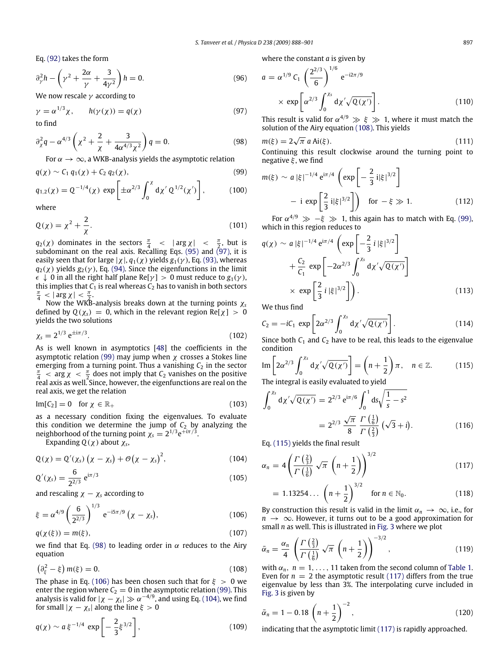Eq. (92) takes the form

$$
\partial_{\gamma}^{2}h - \left(\gamma^{2} + \frac{2\alpha}{\gamma} + \frac{3}{4\gamma^{2}}\right)h = 0.
$$
 (96)

We now rescale  $\gamma$  according to

$$
\gamma = \alpha^{1/3} \chi, \qquad h(\gamma(\chi)) = q(\chi) \tag{97}
$$
to find

$$
\partial_{\chi}^{2}q - \alpha^{4/3}\left(\chi^{2} + \frac{2}{\chi} + \frac{3}{4\alpha^{4/3}\chi^{2}}\right)q = 0.
$$
 (98)

For  $\alpha \to \infty$ , a WKB-analysis yields the asymptotic relation

$$
q(\chi) \sim C_1 \, q_1(\chi) + C_2 \, q_2(\chi), \tag{99}
$$

$$
q_{1,2}(\chi) = Q^{-1/4}(\chi) \, \exp\bigg[ \pm \alpha^{2/3} \int_0^\chi \mathrm{d}\chi' \, Q^{1/2}(\chi') \bigg],\tag{100}
$$

where

$$
Q(\chi) = \chi^2 + \frac{2}{\chi}.\tag{101}
$$

 $q_2(\chi)$  dominates in the sectors  $\frac{\pi}{4}$   $\leq$   $\left|\arg \chi\right|$   $\leq$   $\frac{\pi}{2}$ , but is subdominant on the real axis. Recalling Eqs. (95) and (97), it is easily seen that for large  $|\chi|$ ,  $q_1(\chi)$  yields  $g_1(\gamma)$ , Eq. (93), whereas  $q_2(\chi)$  yields  $g_2(\gamma)$ , Eq. (94). Since the eigenfunctions in the limit  $\epsilon \downarrow 0$  in all the right half plane Re[ $\gamma$ ] > 0 must reduce to  $g_1(\gamma)$ , this implies that  $C_1$  is real whereas  $C_2$  has to vanish in both sectors π  $\frac{\pi}{4} < |\arg \chi| < \frac{\pi}{2}.$ 

2 Now the WKB-analysis breaks down at the turning points χ*<sup>s</sup>* defined by  $Q(\chi_s) = 0$ , which in the relevant region  $Re[\chi] > 0$ yields the two solutions

$$
\chi_s = 2^{1/3} e^{\pm i\pi/3}.
$$
 (102)

As is well known in asymptotics [48] the coefficients in the asymptotic relation (99) may jump when  $\chi$  crosses a Stokes line emerging from a turning point. Thus a vanishing  $C_2$  in the sector  $\frac{\pi}{4}$  <  $\arg \chi$  <  $\frac{\pi}{2}$  does not imply that *C*<sub>2</sub> vanishes on the positive real axis as well. Since, however, the eigenfunctions are real on the real axis, we get the relation

$$
Im[C_2] = 0 \quad \text{for } \chi \in \mathbb{R}_+ \tag{103}
$$

as a necessary condition fixing the eigenvalues. To evaluate this condition we determine the jump of  $C_2$  by analyzing the neighborhood of the turning point  $\chi_s = 2^{1/3} e^{\pm i\pi/3}$ .

Expanding  $Q(\chi)$  about  $\chi_s$ ,

$$
Q(\chi) = Q'(\chi_s) \left(\chi - \chi_s\right) + \mathcal{O}\left(\chi - \chi_s\right)^2,\tag{104}
$$

$$
Q'(\chi_s) = \frac{6}{2^{2/3}} e^{i\pi/3}
$$
 (105)

and rescaling  $\chi - \chi_s$  according to

$$
\xi = \alpha^{4/9} \left(\frac{6}{2^{2/3}}\right)^{1/3} e^{-i5\pi/9} \left(\chi - \chi_s\right),\tag{106}
$$

$$
q(\chi(\xi)) = m(\xi),\tag{107}
$$

we find that Eq. (98) to leading order in  $\alpha$  reduces to the Airy equation

$$
\left(\partial_{\xi}^{2} - \xi\right) m(\xi) = 0. \tag{108}
$$

The phase in Eq. (106) has been chosen such that for  $\xi > 0$  we enter the region where  $C_2 = 0$  in the asymptotic relation (99). This analysis is valid for  $|\chi - \chi_s| \gg \alpha^{-4/9}$ , and using Eq. (104), we find for small  $|\chi - \chi_s|$  along the line  $\xi > 0$ 

$$
q(\chi) \sim a \, \xi^{-1/4} \, \exp\left[ -\frac{2}{3} \xi^{3/2} \right],\tag{109}
$$

where the constant *a* is given by

$$
a = \alpha^{1/9} C_1 \left(\frac{2^{2/3}}{6}\right)^{1/6} e^{-i2\pi/9}
$$
  
× exp  $\left[\alpha^{2/3} \int_0^{X_s} d\chi' \sqrt{Q(\chi')} \right]$ . (110)

This result is valid for  $\alpha^{4/9} \gg \xi \gg 1$ , where it must match the solution of the Airy equation (108). This yields

$$
m(\xi) = 2\sqrt{\pi} a \text{Ai}(\xi). \tag{111}
$$

Continuing this result clockwise around the turning point to negative  $\xi$ , we find

$$
m(\xi) \sim a |\xi|^{-1/4} e^{i\pi/4} \left( \exp\left[ -\frac{2}{3} i |\xi|^{3/2} \right] - i \exp\left[ \frac{2}{3} i |\xi|^{3/2} \right] \right) \quad \text{for } -\xi \gg 1. \tag{112}
$$

For  $\alpha^{4/9} \gg -\xi \gg 1$ , this again has to match with Eq. (99), which in this region reduces to

$$
q(\chi) \sim a |\xi|^{-1/4} e^{i\pi/4} \left( \exp\left[ -\frac{2}{3} i |\xi|^{3/2} \right] + \frac{C_2}{C_1} \exp\left[ -2\alpha^{2/3} \int_0^{x_s} d\chi' \sqrt{Q(\chi')} \right] \times \exp\left[ \frac{2}{3} i |\xi|^{3/2} \right] \right).
$$
 (113)

We thus find

$$
C_2 = -iC_1 \exp\left[2\alpha^{2/3} \int_0^{x_s} d\chi' \sqrt{Q(\chi')} \right].
$$
 (114)

Since both  $C_1$  and  $C_2$  have to be real, this leads to the eigenvalue condition

Im 
$$
\left[2\alpha^{2/3}\int_0^{x_s} d\chi' \sqrt{Q(\chi')} \right] = \left(n + \frac{1}{2}\right)\pi
$$
,  $n \in \mathbb{Z}$ . (115)  
The integral is easily evaluated to yield

The integral is easily evaluated to yield

$$
\int_0^{x_s} d\chi' \sqrt{Q(\chi')} = 2^{2/3} e^{i\pi/6} \int_0^1 ds \sqrt{\frac{1}{s} - s^2}
$$
  
=  $2^{2/3} \frac{\sqrt{\pi}}{8} \frac{\Gamma(\frac{1}{6})}{\Gamma(\frac{2}{3})} (\sqrt{3} + i).$  (116)

Eq. (115) yields the final result

$$
\alpha_n = 4\left(\frac{\Gamma\left(\frac{2}{3}\right)}{\Gamma\left(\frac{1}{6}\right)}\sqrt{\pi}\left(n+\frac{1}{2}\right)\right)^{3/2} \tag{117}
$$

$$
= 1.13254... \left( n + \frac{1}{2} \right)^{3/2} \quad \text{for } n \in \mathbb{N}_0. \tag{118}
$$

By construction this result is valid in the limit  $\alpha_n \to \infty$ , i.e., for *n* → ∞. However, it turns out to be a good approximation for small *n* as well. This is illustrated in Fig. 3 where we plot

$$
\bar{\alpha}_n = \frac{\alpha_n}{4} \left( \frac{\Gamma\left(\frac{2}{3}\right)}{\Gamma\left(\frac{1}{6}\right)} \sqrt{\pi} \left( n + \frac{1}{2} \right) \right)^{-3/2},\tag{119}
$$

with  $\alpha_n$ ,  $n = 1, \ldots, 11$  taken from the second column of Table 1. Even for  $n = 2$  the asymptotic result (117) differs from the true eigenvalue by less than 3%. The interpolating curve included in Fig. 3 is given by

$$
\bar{\alpha}_n = 1 - 0.18 \left( n + \frac{1}{2} \right)^{-2}, \tag{120}
$$

indicating that the asymptotic limit (117) is rapidly approached.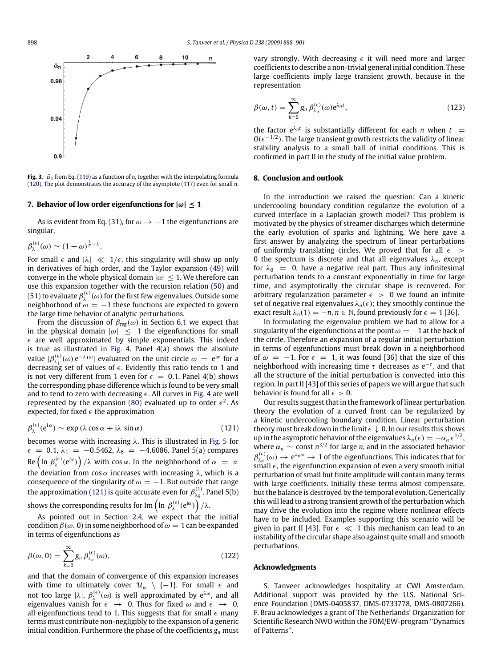

**Fig. 3.**  $\bar{\alpha}_n$  from Eq. (119) as a function of *n*, together with the interpolating formula (120). The plot demonstrates the accuracy of the asymptote (117) even for small *n*.

### **7. Behavior of low order eigenfunctions for**  $|\omega| \le 1$

As is evident from Eq. (31), for  $\omega \rightarrow -1$  the eigenfunctions are singular,

$$
\beta_{\lambda}^{(\epsilon)}(\omega) \sim (1+\omega)^{\frac{1}{\epsilon}+\lambda}.
$$

For small  $\epsilon$  and  $|\lambda| \ll 1/\epsilon$ , this singularity will show up only in derivatives of high order, and the Taylor expansion (49) will converge in the whole physical domain  $|\omega| \leq 1$ . We therefore can use this expansion together with the recursion relation (50) and (51) to evaluate  $\beta_\lambda^{(\epsilon)}(\omega)$  for the first few eigenvalues. Outside some neighborhood of  $\omega = -1$  these functions are expected to govern the large time behavior of analytic perturbations.

From the discussion of  $\beta_{reg}(\omega)$  in Section 6.1 we expect that in the physical domain  $|\omega| \leq 1$  the eigenfunctions for small  $\epsilon$  are well approximated by simple exponentials. This indeed is true as illustrated in Fig. 4. Panel 4(a) shows the absolute value  $|\beta_{\lambda_1}^{(\epsilon)}(\omega) e^{-\lambda_1 \omega}|$  evaluated on the unit circle  $\omega = e^{i\alpha}$  for a decreasing set of values of  $\epsilon$ . Evidently this ratio tends to 1 and is not very different from 1 even for  $\epsilon = 0.1$ . Panel 4(b) shows the corresponding phase difference which is found to be very small and to tend to zero with decreasing  $\epsilon$ . All curves in Fig. 4 are well represented by the expansion (80) evaluated up to order  $\epsilon^2$ . As expected, for fixed  $\epsilon$  the approximation

$$
\beta_{\lambda}^{(\epsilon)}(e^{i\alpha}) \sim \exp\left(\lambda \cos\alpha + i\lambda \sin\alpha\right) \tag{121}
$$

becomes worse with increasing  $\lambda$ . This is illustrated in Fig. 5 for  $\epsilon$  = 0.1,  $\lambda_1$  = -0.5462,  $\lambda_6$  = -4.6086. Panel 5(a) compares  ${\rm Re}\left(\ln\,\beta_\lambda^{(\epsilon)}({\rm e}^{{\rm i}\alpha})\right)/\lambda$  with  $\cos\alpha.$  In the neighborhood of  $\alpha~=~\pi$ the deviation from cos  $\alpha$  increases with increasing  $\lambda$ , which is a consequence of the singularity of  $\omega = -1$ . But outside that range the approximation (121) is quite accurate even for  $\beta_{\lambda_6}^{(1)}$ . Panel 5(b)

shows the corresponding results for Im  $\left(\ln\,\beta_\lambda^{(\epsilon)}({\rm e}^{{\rm i}\alpha})\right)/\lambda.$ 

As pointed out in Section 2.4, we expect that the initial condition  $\beta(\omega, 0)$  in some neighborhood of  $\omega = 1$  can be expanded in terms of eigenfunctions as

$$
\beta(\omega, 0) = \sum_{k=0}^{\infty} g_n \beta_{\lambda_n}^{(\epsilon)}(\omega),
$$
\n(122)

and that the domain of convergence of this expansion increases with time to ultimately cover  $\mathcal{U}_{\omega} \setminus \{-1\}$ . For small  $\epsilon$  and not too large  $|\lambda|$ ,  $\beta_{\lambda}^{(\epsilon)}(\omega)$  is well approximated by e<sup>λω</sup>, and all eigenvalues vanish for  $\epsilon\;\rightarrow\;$  0. Thus for fixed  $\omega$  and  $\epsilon\;\rightarrow\;$  0, all eigenfunctions tend to 1. This suggests that for small  $\epsilon$  many terms must contribute non-negligibly to the expansion of a generic initial condition. Furthermore the phase of the coefficients *g<sup>n</sup>* must vary strongly. With decreasing  $\epsilon$  it will need more and larger coefficients to describe a non-trivial general initial condition. These large coefficients imply large transient growth, because in the representation

$$
\beta(\omega, t) = \sum_{k=0}^{\infty} g_n \beta_{\lambda_n}^{(\epsilon)}(\omega) e^{\lambda_n t},
$$
\n(123)

the factor  $e^{\lambda_n t}$  is substantially different for each *n* when  $t =$  $O(\epsilon^{-1/2})$ . The large transient growth restricts the validity of linear stability analysis to a small ball of initial conditions. This is confirmed in part II in the study of the initial value problem.

## **8. Conclusion and outlook**

In the introduction we raised the question: Can a kinetic undercooling boundary condition regularize the evolution of a curved interface in a Laplacian growth model? This problem is motivated by the physics of streamer discharges which determine the early evolution of sparks and lightning. We here gave a first answer by analyzing the spectrum of linear perturbations of uniformly translating circles. We proved that for all  $\epsilon$  > 0 the spectrum is discrete and that all eigenvalues  $\lambda_n$ , except for  $\lambda_0 = 0$ , have a negative real part. Thus any infinitesimal perturbation tends to a constant exponentially in time for large time, and asymptotically the circular shape is recovered. For arbitrary regularization parameter  $\epsilon > 0$  we found an infinite set of negative real eigenvalues  $\lambda_n(\epsilon)$ ; they smoothly continue the exact result  $\lambda_n(1) = -n$ ,  $n \in \mathbb{N}$ , found previously for  $\epsilon = 1$  [36].

In formulating the eigenvalue problem we had to allow for a singularity of the eigenfunctions at the point  $\omega = -1$  at the back of the circle. Therefore an expansion of a regular initial perturbation in terms of eigenfunctions must break down in a neighborhood of  $\omega = -1$ . For  $\epsilon = 1$ , it was found [36] that the size of this neighborhood with increasing time  $\tau$  decreases as e<sup>-τ</sup>, and that all the structure of the initial perturbation is convected into this region. In part II [43] of this series of papers we will argue that such behavior is found for all  $\epsilon > 0$ .

Our results suggest that in the framework of linear perturbation theory the evolution of a curved front can be regularized by a kinetic undercooling boundary condition. Linear perturbation theory must break down in the limit  $\epsilon \downarrow 0$ . In our results this shows up in the asymptotic behavior of the eigenvalues  $\lambda_n(\epsilon) = -\alpha_n \epsilon^{1/2}$ , where  $\alpha_n \sim \text{const } n^{3/2}$  for large *n*, and in the associated behavior  $\beta_{\lambda_n}^{(\epsilon)}(\omega) \to e^{\lambda_n \omega} \to 1$  of the eigenfunctions. This indicates that for small  $\epsilon$ , the eigenfunction expansion of even a very smooth initial perturbation of small but finite amplitude will contain many terms with large coefficients. Initially these terms almost compensate, but the balance is destroyed by the temporal evolution. Generically this will lead to a strong transient growth of the perturbation which may drive the evolution into the regime where nonlinear effects have to be included. Examples supporting this scenario will be given in part II [43]. For  $\epsilon \ll 1$  this mechanism can lead to an instability of the circular shape also against quite small and smooth perturbations.

## **Acknowledgments**

S. Tanveer acknowledges hospitality at CWI Amsterdam. Additional support was provided by the U.S. National Science Foundation (DMS-0405837, DMS-0733778, DMS-0807266). F. Brau acknowledges a grant of The Netherlands' Organization for Scientific Research NWO within the FOM/EW-program ''Dynamics of Patterns''.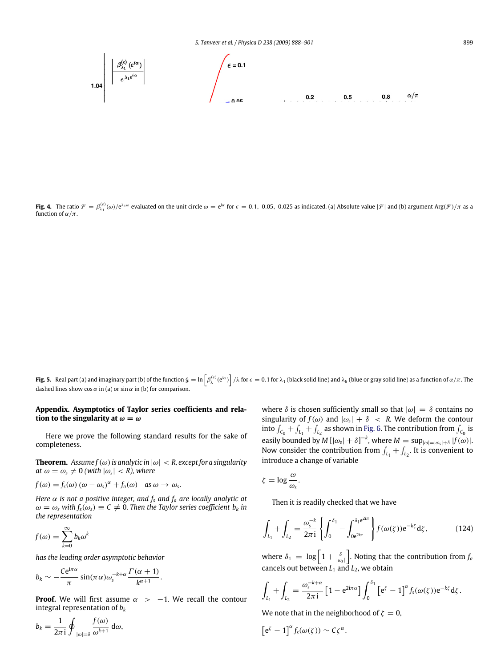**Fig. 4.** The ratio  $\mathcal{F} = \beta_{\lambda_1}^{(\epsilon)}(\omega) / e^{\lambda_1 \omega}$  evaluated on the unit circle  $\omega = e^{i\alpha}$  for  $\epsilon = 0.1$ , 0.05, 0.025 as indicated. (a) Absolute value  $|\mathcal{F}|$  and (b) argument Arg $(\mathcal{F})/\pi$  as a function of  $\alpha/\pi$ .

**Fig. 5.** Real part (a) and imaginary part (b) of the function  $\oint_{\lambda} = \ln \left[ \beta_{\lambda}^{(\epsilon)}(\mathrm{e}^{\mathrm{i}\alpha}) \right] / \lambda$  for  $\epsilon = 0.1$  for  $\lambda_1$  (black solid line) and  $\lambda_6$  (blue or gray solid line) as a function of  $\alpha/\pi$ . The dashed lines show  $\cos \alpha$  in (a) or  $\sin \alpha$  in (b) for comparison.

# **Appendix. Asymptotics of Taylor series coefficients and relation to the singularity at**  $\omega = \omega_s$

Here we prove the following standard results for the sake of completeness.

**Theorem.** *Assume*  $f(\omega)$  *is analytic in*  $|\omega| < R$ , *except for a singularity*  $at \omega = \omega_{\rm s} \neq 0$  (with  $|\omega_{\rm s}| < R$ ), where

$$
f(\omega) = f_s(\omega) (\omega - \omega_s)^{\alpha} + f_a(\omega)
$$
 as  $\omega \to \omega_s$ .

*Here* α *is not a positive integer, and f<sup>s</sup> and f<sup>a</sup> are locally analytic at*  $\omega = \omega_s$  with  $f_s(\omega_s) \equiv C \neq 0$ . Then the Taylor series coefficient  $b_k$  in *the representation*

$$
f(\omega) = \sum_{k=0}^{\infty} b_k \omega^k
$$

*has the leading order asymptotic behavior*

$$
b_k \sim -\frac{Ce^{i\pi\alpha}}{\pi} \sin(\pi\alpha)\omega_s^{-k+\alpha}\frac{\Gamma(\alpha+1)}{k^{\alpha+1}}.
$$

**Proof.** We will first assume  $\alpha$  > -1. We recall the contour integral representation of *b<sup>k</sup>*

where  $\delta$  is chosen sufficiently small so that  $|\omega| = \delta$  contains no singularity of  $f(\omega)$  and  $|\omega_s| + \delta < R$ . We deform the contour into  $\int_{C_0} + \int_{L_1} + \int_{L_2}$  as shown in Fig. 6. The contribution from  $\int_{C_0}$  is easily bounded by  $M[|\omega_s| + \delta]^{-k}$ , where  $M = \sup_{|\omega| = |\omega_s| + \delta} |f(\omega)|$ . Now consider the contribution from  $\int_{L_1} + \int_{L_2}$ . It is convenient to introduce a change of variable

$$
\zeta = \log \frac{\omega}{\omega_s}.
$$

Then it is readily checked that we have

$$
\int_{L_1} + \int_{L_2} = \frac{\omega_s^{-k}}{2\pi i} \left\{ \int_0^{\delta_1} - \int_{0e^{2i\pi}}^{\delta_1 e^{2i\pi}} \right\} f(\omega(\zeta)) e^{-k\zeta} d\zeta, \tag{124}
$$

where  $\delta_1 = \log \left[1 + \frac{\delta}{|\omega_s|}\right]$ . Noting that the contribution from  $f_a$ cancels out between  $L_1$  and  $L_2$ , we obtain

$$
\int_{L_1} + \int_{L_2} = \frac{\omega_s^{-k+\alpha}}{2\pi i} \left[1 - e^{2i\pi\alpha}\right] \int_0^{\delta_1} \left[e^{\zeta} - 1\right]^\alpha f_s(\omega(\zeta)) e^{-k\zeta} d\zeta.
$$

We note that in the neighborhood of  $\zeta = 0$ ,

$$
\left[e^{\zeta}-1\right]^{\alpha}f_{s}(\omega(\zeta))\sim C\zeta^{\alpha}.
$$

 $b_k = \frac{1}{2}$  $2\pi$ i I  $|\omega| = \delta$ *f*(ω)  $\frac{\partial}{\partial x^{k+1}} d\omega$ ,